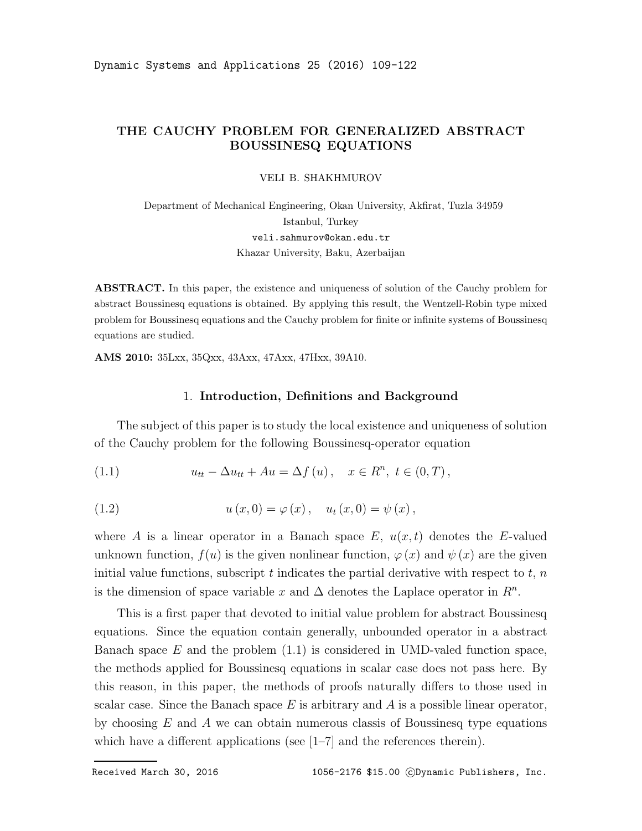# THE CAUCHY PROBLEM FOR GENERALIZED ABSTRACT BOUSSINESQ EQUATIONS

VELI B. SHAKHMUROV

Department of Mechanical Engineering, Okan University, Akfirat, Tuzla 34959 Istanbul, Turkey veli.sahmurov@okan.edu.tr Khazar University, Baku, Azerbaijan

ABSTRACT. In this paper, the existence and uniqueness of solution of the Cauchy problem for abstract Boussinesq equations is obtained. By applying this result, the Wentzell-Robin type mixed problem for Boussinesq equations and the Cauchy problem for finite or infinite systems of Boussinesq equations are studied.

AMS 2010: 35Lxx, 35Qxx, 43Axx, 47Axx, 47Hxx, 39A10.

#### 1. Introduction, Definitions and Background

The subject of this paper is to study the local existence and uniqueness of solution of the Cauchy problem for the following Boussinesq-operator equation

(1.1) 
$$
u_{tt} - \Delta u_{tt} + Au = \Delta f(u), \quad x \in R^n, t \in (0, T),
$$

(1.2) 
$$
u(x, 0) = \varphi(x), \quad u_t(x, 0) = \psi(x),
$$

where A is a linear operator in a Banach space  $E, u(x, t)$  denotes the E-valued unknown function,  $f(u)$  is the given nonlinear function,  $\varphi(x)$  and  $\psi(x)$  are the given initial value functions, subscript t indicates the partial derivative with respect to  $t, n$ is the dimension of space variable x and  $\Delta$  denotes the Laplace operator in  $\mathbb{R}^n$ .

This is a first paper that devoted to initial value problem for abstract Boussinesq equations. Since the equation contain generally, unbounded operator in a abstract Banach space  $E$  and the problem  $(1.1)$  is considered in UMD-valed function space, the methods applied for Boussinesq equations in scalar case does not pass here. By this reason, in this paper, the methods of proofs naturally differs to those used in scalar case. Since the Banach space  $E$  is arbitrary and  $A$  is a possible linear operator, by choosing  $E$  and  $\ddot{A}$  we can obtain numerous classis of Boussinesq type equations which have a different applications (see [1–7] and the references therein).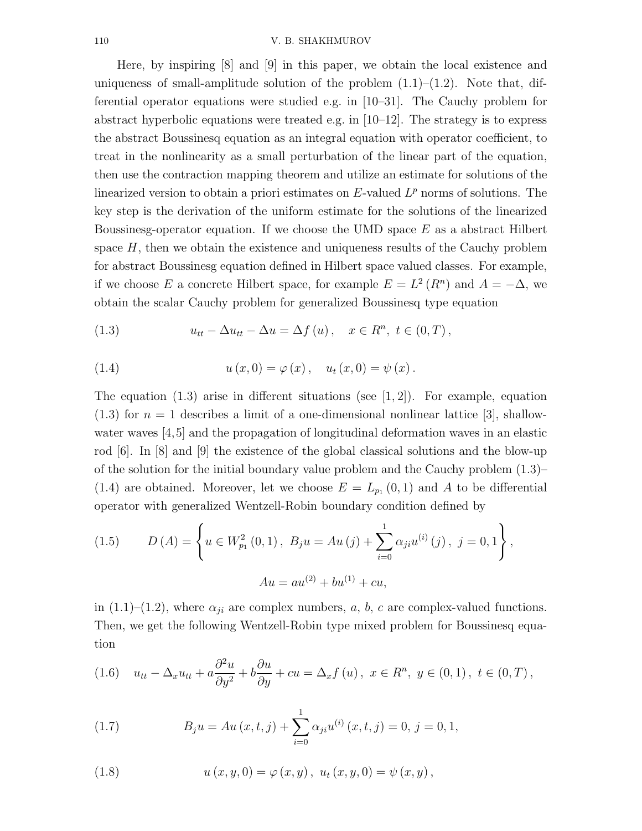Here, by inspiring [8] and [9] in this paper, we obtain the local existence and uniqueness of small-amplitude solution of the problem  $(1.1)$ – $(1.2)$ . Note that, differential operator equations were studied e.g. in [10–31]. The Cauchy problem for abstract hyperbolic equations were treated e.g. in  $[10-12]$ . The strategy is to express the abstract Boussinesq equation as an integral equation with operator coefficient, to treat in the nonlinearity as a small perturbation of the linear part of the equation, then use the contraction mapping theorem and utilize an estimate for solutions of the linearized version to obtain a priori estimates on  $E$ -valued  $L^p$  norms of solutions. The key step is the derivation of the uniform estimate for the solutions of the linearized Boussinesg-operator equation. If we choose the UMD space  $E$  as a abstract Hilbert space  $H$ , then we obtain the existence and uniqueness results of the Cauchy problem for abstract Boussinesg equation defined in Hilbert space valued classes. For example, if we choose E a concrete Hilbert space, for example  $E = L^2(R^n)$  and  $A = -\Delta$ , we obtain the scalar Cauchy problem for generalized Boussinesq type equation

(1.3) 
$$
u_{tt} - \Delta u_{tt} - \Delta u = \Delta f(u), \quad x \in R^n, t \in (0, T),
$$

(1.4) 
$$
u(x, 0) = \varphi(x), \quad u_t(x, 0) = \psi(x).
$$

The equation  $(1.3)$  arise in different situations (see [1, 2]). For example, equation  $(1.3)$  for  $n = 1$  describes a limit of a one-dimensional nonlinear lattice [3], shallowwater waves [4,5] and the propagation of longitudinal deformation waves in an elastic rod [6]. In [8] and [9] the existence of the global classical solutions and the blow-up of the solution for the initial boundary value problem and the Cauchy problem (1.3)– (1.4) are obtained. Moreover, let we choose  $E = L_{p_1}(0,1)$  and A to be differential operator with generalized Wentzell-Robin boundary condition defined by

(1.5) 
$$
D(A) = \left\{ u \in W_{p_1}^2(0,1), B_j u = Au(j) + \sum_{i=0}^1 \alpha_{ji} u^{(i)}(j), j = 0,1 \right\},\newline Au = au^{(2)} + bu^{(1)} + cu,
$$

in (1.1)–(1.2), where  $\alpha_{ji}$  are complex numbers, a, b, c are complex-valued functions. Then, we get the following Wentzell-Robin type mixed problem for Boussinesq equation

(1.6) 
$$
u_{tt} - \Delta_x u_{tt} + a \frac{\partial^2 u}{\partial y^2} + b \frac{\partial u}{\partial y} + cu = \Delta_x f(u), \ x \in R^n, \ y \in (0,1), \ t \in (0,T),
$$

(1.7) 
$$
B_j u = Au(x, t, j) + \sum_{i=0}^{1} \alpha_{ji} u^{(i)}(x, t, j) = 0, j = 0, 1,
$$

(1.8) 
$$
u(x, y, 0) = \varphi(x, y), \ u_t(x, y, 0) = \psi(x, y),
$$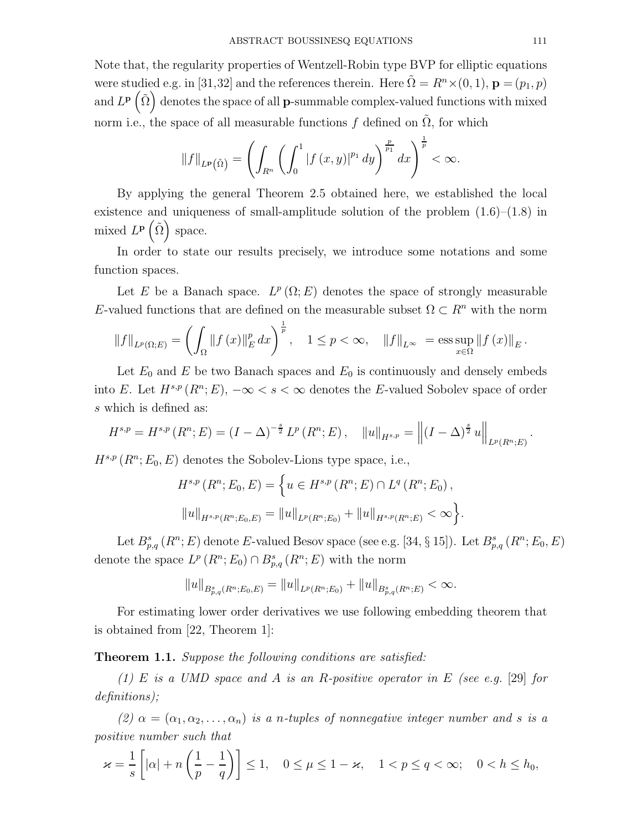Note that, the regularity properties of Wentzell-Robin type BVP for elliptic equations were studied e.g. in [31,32] and the references therein. Here  $\Omega = R^n \times (0, 1)$ ,  $\mathbf{p} = (p_1, p)$ and  $L^{\mathbf{p}}\left(\tilde{\Omega}\right)$  denotes the space of all **p**-summable complex-valued functions with mixed norm i.e., the space of all measurable functions f defined on  $\tilde{\Omega}$ , for which

$$
||f||_{L^{p}(\tilde{\Omega})} = \left(\int_{R^{n}} \left(\int_{0}^{1} |f(x,y)|^{p_{1}} dy\right)^{\frac{p}{p_{1}}} dx\right)^{\frac{1}{p}} < \infty.
$$

By applying the general Theorem 2.5 obtained here, we established the local existence and uniqueness of small-amplitude solution of the problem  $(1.6)$ – $(1.8)$  in mixed  $L^{\mathbf{p}}\left( \tilde{\Omega}\right)$  space.

In order to state our results precisely, we introduce some notations and some function spaces.

Let E be a Banach space.  $L^p(\Omega; E)$  denotes the space of strongly measurable E-valued functions that are defined on the measurable subset  $\Omega \subset \mathbb{R}^n$  with the norm

$$
\|f\|_{L^{p}(\Omega;E)} = \left(\int_{\Omega} \|f(x)\|_{E}^{p} dx\right)^{\frac{1}{p}}, \quad 1 \le p < \infty, \quad \|f\|_{L^{\infty}} = \operatorname{ess} \sup_{x \in \Omega} \|f(x)\|_{E}.
$$

Let  $E_0$  and E be two Banach spaces and  $E_0$  is continuously and densely embeds into E. Let  $H^{s,p}(R^n;E)$ ,  $-\infty < s < \infty$  denotes the E-valued Sobolev space of order s which is defined as:

$$
H^{s,p} = H^{s,p}(R^n;E) = (I - \Delta)^{-\frac{s}{2}} L^p(R^n;E), \quad ||u||_{H^{s,p}} = ||(I - \Delta)^{\frac{s}{2}} u||_{L^p(R^n;E)}.
$$

 $H^{s,p}(R^n;E_0,E)$  denotes the Sobolev-Lions type space, i.e.,

$$
H^{s,p}(R^n; E_0, E) = \left\{ u \in H^{s,p}(R^n; E) \cap L^q(R^n; E_0), \right\}
$$
  

$$
||u||_{H^{s,p}(R^n; E_0, E)} = ||u||_{L^p(R^n; E_0)} + ||u||_{H^{s,p}(R^n; E)} < \infty \right\}.
$$

Let  $B^s_{p,q}(R^n;E)$  denote E-valued Besov space (see e.g. [34, § 15]). Let  $B^s_{p,q}(R^n;E_0,E)$ denote the space  $L^p(R^n; E_0) \cap B^s_{p,q}(R^n; E)$  with the norm

$$
||u||_{B_{p,q}^s(R^n;E_0,E)} = ||u||_{L^p(R^n;E_0)} + ||u||_{B_{p,q}^s(R^n;E)} < \infty.
$$

For estimating lower order derivatives we use following embedding theorem that is obtained from [22, Theorem 1]:

Theorem 1.1. Suppose the following conditions are satisfied:

(1) E is a UMD space and A is an R-positive operator in E (see e.g. [29] for definitions);

(2)  $\alpha = (\alpha_1, \alpha_2, \ldots, \alpha_n)$  is a n-tuples of nonnegative integer number and s is a positive number such that

$$
\varkappa = \frac{1}{s} \left[ |\alpha| + n \left( \frac{1}{p} - \frac{1}{q} \right) \right] \le 1, \quad 0 \le \mu \le 1 - \varkappa, \quad 1 < p \le q < \infty; \quad 0 < h \le h_0,
$$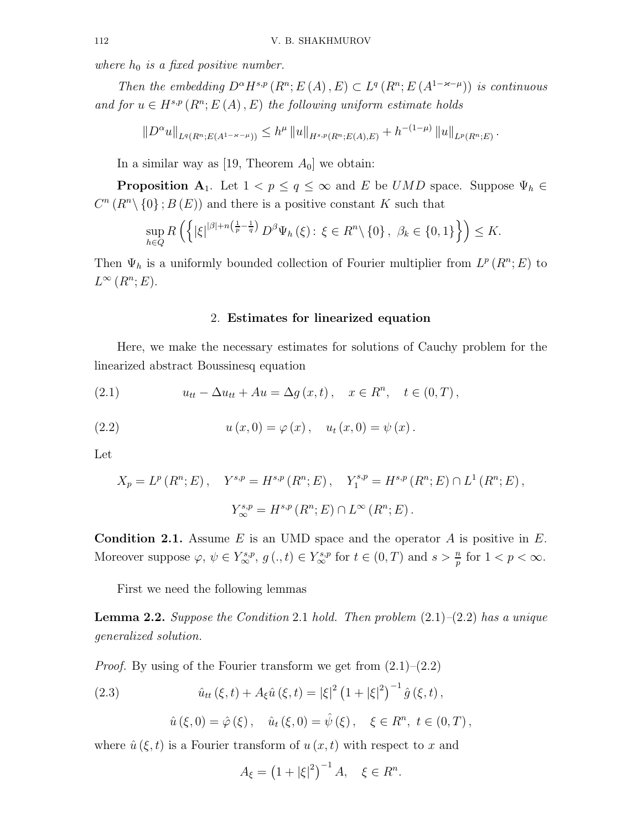where  $h_0$  is a fixed positive number.

Then the embedding  $D^{\alpha}H^{s,p}(R^n;E(A),E) \subset L^q(R^n;E(A^{1-\varkappa-\mu}))$  is continuous and for  $u \in H^{s,p}(R^n; E(A), E)$  the following uniform estimate holds

$$
||D^{\alpha}u||_{L^{q}(R^{n};E(A^{1-\varkappa-\mu}))} \leq h^{\mu} ||u||_{H^{s,p}(R^{n};E(A),E)} + h^{-(1-\mu)} ||u||_{L^{p}(R^{n};E)}.
$$

In a similar way as [19, Theorem  $A_0$ ] we obtain:

**Proposition A**<sub>1</sub>. Let  $1 < p \le q \le \infty$  and E be UMD space. Suppose  $\Psi_h \in \mathcal{H}$  $C^n(R^n\setminus\{0\};B(E))$  and there is a positive constant K such that

$$
\sup_{h\in Q} R\left(\left\{|\xi|^{\left|\beta\right|+n\left(\frac{1}{p}-\frac{1}{q}\right)} D^{\beta}\Psi_h\left(\xi\right)\colon \xi\in R^n\backslash\left\{0\right\},\ \beta_k\in\left\{0,1\right\}\right\}\right)\leq K.
$$

Then  $\Psi_h$  is a uniformly bounded collection of Fourier multiplier from  $L^p(R^n;E)$  to  $L^{\infty}(R^n;E).$ 

### 2. Estimates for linearized equation

Here, we make the necessary estimates for solutions of Cauchy problem for the linearized abstract Boussinesq equation

(2.1) 
$$
u_{tt} - \Delta u_{tt} + Au = \Delta g(x, t), \quad x \in R^n, \quad t \in (0, T),
$$

(2.2) 
$$
u(x, 0) = \varphi(x), \quad u_t(x, 0) = \psi(x).
$$

Let

$$
X_p = L^p(R^n; E), \quad Y^{s,p} = H^{s,p}(R^n; E), \quad Y_1^{s,p} = H^{s,p}(R^n; E) \cap L^1(R^n; E),
$$
  

$$
Y_{\infty}^{s,p} = H^{s,p}(R^n; E) \cap L^{\infty}(R^n; E).
$$

**Condition 2.1.** Assume E is an UMD space and the operator A is positive in E. Moreover suppose  $\varphi, \psi \in Y^{s,p}_{\infty}, g (., t) \in Y^{s,p}_{\infty}$  for  $t \in (0,T)$  and  $s > \frac{n}{p}$  for  $1 < p < \infty$ .

First we need the following lemmas

**Lemma 2.2.** Suppose the Condition 2.1 hold. Then problem  $(2.1)$ – $(2.2)$  has a unique generalized solution.

*Proof.* By using of the Fourier transform we get from  $(2.1)$ – $(2.2)$ 

(2.3) 
$$
\hat{u}_{tt}(\xi, t) + A_{\xi} \hat{u}(\xi, t) = |\xi|^2 (1 + |\xi|^2)^{-1} \hat{g}(\xi, t),
$$

$$
\hat{u}(\xi,0) = \hat{\varphi}(\xi), \quad \hat{u}_t(\xi,0) = \hat{\psi}(\xi), \quad \xi \in R^n, \ t \in (0,T),
$$

where  $\hat{u}(\xi, t)$  is a Fourier transform of  $u(x, t)$  with respect to x and

$$
A_{\xi} = (1 + |\xi|^2)^{-1} A, \quad \xi \in R^n.
$$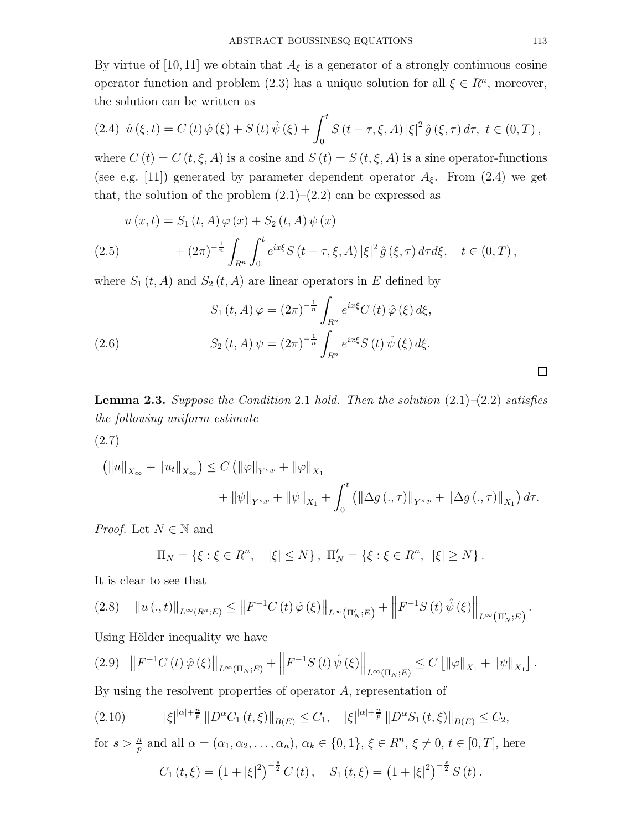By virtue of [10,11] we obtain that  $A_{\xi}$  is a generator of a strongly continuous cosine operator function and problem (2.3) has a unique solution for all  $\xi \in \mathbb{R}^n$ , moreover, the solution can be written as

(2.4) 
$$
\hat{u}(\xi, t) = C(t)\hat{\varphi}(\xi) + S(t)\hat{\psi}(\xi) + \int_0^t S(t - \tau, \xi, A) |\xi|^2 \hat{g}(\xi, \tau) d\tau, t \in (0, T),
$$

where  $C(t) = C(t, \xi, A)$  is a cosine and  $S(t) = S(t, \xi, A)$  is a sine operator-functions (see e.g. [11]) generated by parameter dependent operator  $A_{\xi}$ . From (2.4) we get that, the solution of the problem  $(2.1)$ – $(2.2)$  can be expressed as

$$
u(x,t) = S_1(t,A)\varphi(x) + S_2(t,A)\psi(x)
$$
  
(2.5) 
$$
+ (2\pi)^{-\frac{1}{n}} \int_{R^n} \int_0^t e^{ix\xi} S(t-\tau,\xi,A) |\xi|^2 \hat{g}(\xi,\tau) d\tau d\xi, \quad t \in (0,T),
$$

where  $S_1(t, A)$  and  $S_2(t, A)$  are linear operators in E defined by

(2.6) 
$$
S_1(t, A) \varphi = (2\pi)^{-\frac{1}{n}} \int_{R^n} e^{ix\xi} C(t) \hat{\varphi}(\xi) d\xi,
$$

$$
S_2(t, A) \psi = (2\pi)^{-\frac{1}{n}} \int_{R^n} e^{ix\xi} S(t) \hat{\psi}(\xi) d\xi.
$$

**Lemma 2.3.** Suppose the Condition 2.1 hold. Then the solution  $(2.1)$ – $(2.2)$  satisfies the following uniform estimate

(2.7)

$$
\left(\|u\|_{X_{\infty}} + \|u_t\|_{X_{\infty}}\right) \le C \left(\|\varphi\|_{Y^{s,p}} + \|\varphi\|_{X_1} + \int_0^t \left(\|\Delta g\left(.,\tau\right)\|_{Y^{s,p}} + \|\Delta g\left(.,\tau\right)\|_{X_1}\right) d\tau\right) + \|\varphi\|_{Y^{s,p}} + \|\varphi\|_{X_1} + \int_0^t \left(\|\Delta g\left(.,\tau\right)\|_{Y^{s,p}} + \|\Delta g\left(.,\tau\right)\|_{X_1}\right) d\tau.
$$

*Proof.* Let  $N \in \mathbb{N}$  and

$$
\Pi_N = \{ \xi : \xi \in R^n, \quad |\xi| \le N \}, \ \Pi'_N = \{ \xi : \xi \in R^n, \ |\xi| \ge N \}.
$$

It is clear to see that

$$
(2.8) \quad \|u(.,t)\|_{L^{\infty}(R^{n};E)} \leq \|F^{-1}C(t)\,\hat{\varphi}\,(\xi)\|_{L^{\infty}\left(\Pi'_N;E\right)} + \left\|F^{-1}S\left(t\right)\hat{\psi}\left(\xi\right)\right\|_{L^{\infty}\left(\Pi'_N;E\right)}.
$$

Using Hölder inequality we have

$$
(2.9) \quad ||F^{-1}C(t)\hat{\varphi}(\xi)||_{L^{\infty}(\Pi_N;E)} + ||F^{-1}S(t)\hat{\psi}(\xi)||_{L^{\infty}(\Pi_N;E)} \leq C [||\varphi||_{X_1} + ||\psi||_{X_1}].
$$

By using the resolvent properties of operator A, representation of

$$
(2.10) \t\t |\xi|^{\alpha|+\frac{n}{p}} \|D^{\alpha}C_1(t,\xi)\|_{B(E)} \leq C_1, \t |\xi|^{\alpha|+\frac{n}{p}} \|D^{\alpha}S_1(t,\xi)\|_{B(E)} \leq C_2,
$$

for 
$$
s > \frac{n}{p}
$$
 and all  $\alpha = (\alpha_1, \alpha_2, ..., \alpha_n)$ ,  $\alpha_k \in \{0, 1\}$ ,  $\xi \in R^n$ ,  $\xi \neq 0$ ,  $t \in [0, T]$ , here  

$$
C_1(t, \xi) = (1 + |\xi|^2)^{-\frac{s}{2}} C(t), \quad S_1(t, \xi) = (1 + |\xi|^2)^{-\frac{s}{2}} S(t).
$$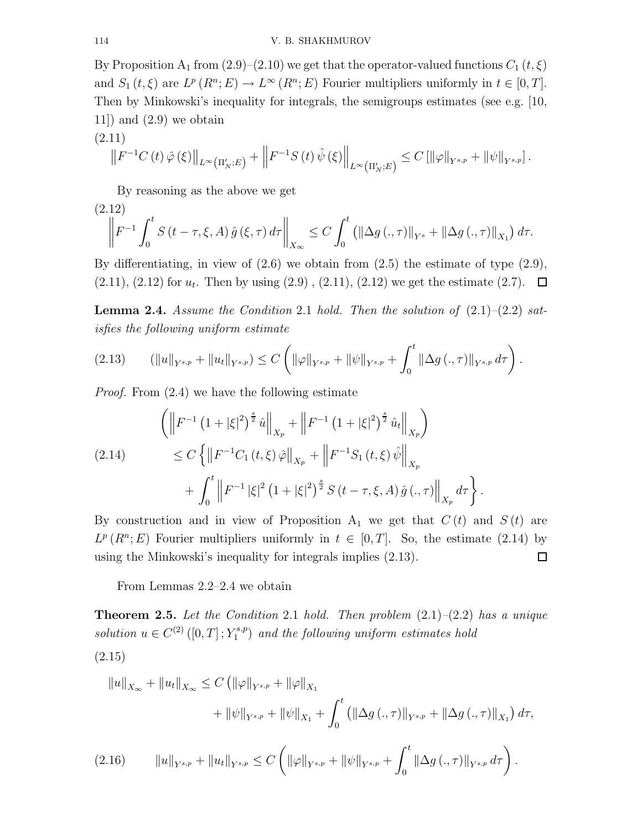By Proposition A<sub>1</sub> from  $(2.9)$ – $(2.10)$  we get that the operator-valued functions  $C_1(t,\xi)$ and  $S_1(t,\xi)$  are  $L^p(R^n;E) \to L^\infty(R^n;E)$  Fourier multipliers uniformly in  $t \in [0,T]$ . Then by Minkowski's inequality for integrals, the semigroups estimates (see e.g. [10,  $11$ ) and  $(2.9)$  we obtain

$$
(2.11) \t\t ||F^{-1}C(t)\hat{\varphi}(\xi)||_{L^{\infty}(\Pi'_N;E)} + ||F^{-1}S(t)\hat{\psi}(\xi)||_{L^{\infty}(\Pi'_N;E)} \leq C [||\varphi||_{Y^{s,p}} + ||\psi||_{Y^{s,p}}].
$$

By reasoning as the above we get

$$
(2.12) \t\t\t\|F^{-1} \int_0^t S(t - \tau, \xi, A) \hat{g}(\xi, \tau) d\tau\|_{X_{\infty}} \leq C \int_0^t \left(\|\Delta g(\cdot, \tau)\|_{Y^s} + \|\Delta g(\cdot, \tau)\|_{X_1}\right) d\tau.
$$

By differentiating, in view of (2.6) we obtain from (2.5) the estimate of type (2.9),  $(2.11), (2.12)$  for  $u_t$ . Then by using  $(2.9), (2.11), (2.12)$  we get the estimate  $(2.7)$ .

**Lemma 2.4.** Assume the Condition 2.1 hold. Then the solution of  $(2.1)$ – $(2.2)$  satisfies the following uniform estimate

$$
(2.13) \qquad (\|u\|_{Y^{s,p}} + \|u_t\|_{Y^{s,p}}) \le C \left( \|\varphi\|_{Y^{s,p}} + \|\psi\|_{Y^{s,p}} + \int_0^t \|\Delta g\left(.,\tau\right)\|_{Y^{s,p}} d\tau \right).
$$

Proof. From (2.4) we have the following estimate

$$
\left( \left\| F^{-1} \left( 1 + |\xi|^2 \right)^{\frac{s}{2}} \hat{u} \right\|_{X_p} + \left\| F^{-1} \left( 1 + |\xi|^2 \right)^{\frac{s}{2}} \hat{u}_t \right\|_{X_p} \right)
$$
\n
$$
\leq C \left\{ \left\| F^{-1} C_1 \left( t, \xi \right) \hat{\varphi} \right\|_{X_p} + \left\| F^{-1} S_1 \left( t, \xi \right) \hat{\psi} \right\|_{X_p} + \int_0^t \left\| F^{-1} |\xi|^2 \left( 1 + |\xi|^2 \right)^{\frac{s}{2}} S \left( t - \tau, \xi, A \right) \hat{g} \left( . , \tau \right) \right\|_{X_p} d\tau \right\}.
$$

By construction and in view of Proposition  $A_1$  we get that  $C(t)$  and  $S(t)$  are  $L^p(R^n; E)$  Fourier multipliers uniformly in  $t \in [0, T]$ . So, the estimate (2.14) by using the Minkowski's inequality for integrals implies (2.13).  $\Box$ 

From Lemmas 2.2–2.4 we obtain

**Theorem 2.5.** Let the Condition 2.1 hold. Then problem  $(2.1)$ – $(2.2)$  has a unique solution  $u \in C^{(2)}([0, T]; Y_1^{s,p})$  $\binom{1}{1}$  and the following uniform estimates hold (2.15)

$$
||u||_{X_{\infty}} + ||u_t||_{X_{\infty}} \leq C \left( ||\varphi||_{Y^{s,p}} + ||\varphi||_{X_1} + ||\varphi||_{X_1} + ||\varphi||_{X_2} + ||\varphi||_{Y^{s,p}} + ||\varphi||_{X_1} + \int_0^t \left( ||\Delta g(., \tau)||_{Y^{s,p}} + ||\Delta g(., \tau)||_{X_1} \right) d\tau,
$$
  
(2.16) 
$$
||u||_{Y^{s,p}} + ||u_t||_{Y^{s,p}} \leq C \left( ||\varphi||_{Y^{s,p}} + ||\psi||_{Y^{s,p}} + \int_0^t ||\Delta g(., \tau)||_{Y^{s,p}} d\tau \right).
$$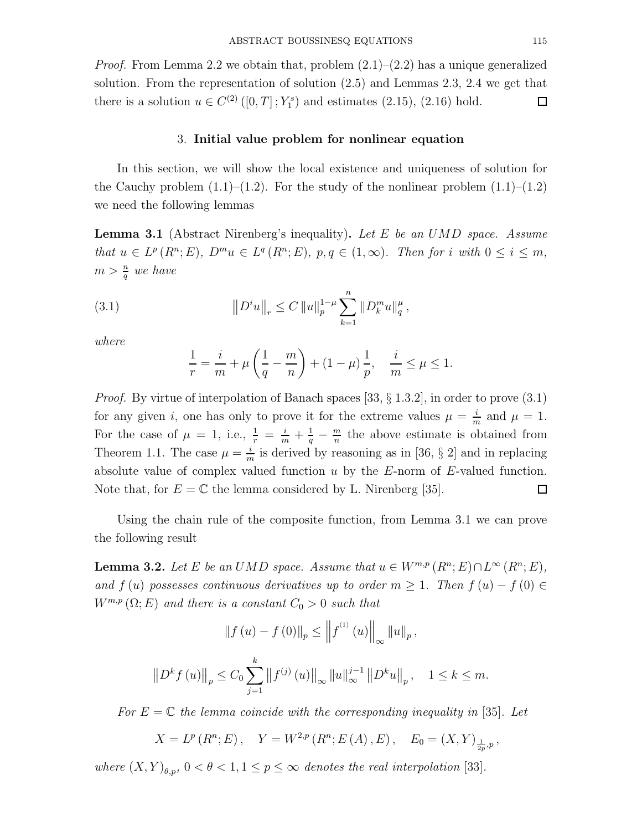*Proof.* From Lemma 2.2 we obtain that, problem  $(2.1)$ – $(2.2)$  has a unique generalized solution. From the representation of solution (2.5) and Lemmas 2.3, 2.4 we get that there is a solution  $u \in C^{(2)}([0, T]; Y_1^s)$  and estimates  $(2.15)$ ,  $(2.16)$  hold.  $\Box$ 

## 3. Initial value problem for nonlinear equation

In this section, we will show the local existence and uniqueness of solution for the Cauchy problem  $(1.1)$ – $(1.2)$ . For the study of the nonlinear problem  $(1.1)$ – $(1.2)$ we need the following lemmas

**Lemma 3.1** (Abstract Nirenberg's inequality). Let E be an UMD space. Assume that  $u \in L^p(R^n; E)$ ,  $D^m u \in L^q(R^n; E)$ ,  $p, q \in (1, \infty)$ . Then for i with  $0 \leq i \leq m$ ,  $m > \frac{n}{q}$  we have

(3.1) 
$$
||D^i u||_r \leq C ||u||_p^{1-\mu} \sum_{k=1}^n ||D_k^m u||_q^{\mu},
$$

where

$$
\frac{1}{r} = \frac{i}{m} + \mu \left( \frac{1}{q} - \frac{m}{n} \right) + (1 - \mu) \frac{1}{p}, \quad \frac{i}{m} \le \mu \le 1.
$$

*Proof.* By virtue of interpolation of Banach spaces [33,  $\S 1.3.2$ ], in order to prove (3.1) for any given i, one has only to prove it for the extreme values  $\mu = \frac{i}{n}$  $\frac{\imath}{m}$  and  $\mu = 1$ . For the case of  $\mu = 1$ , i.e.,  $\frac{1}{r} = \frac{i}{m} + \frac{1}{q} - \frac{m}{n}$  $\frac{m}{n}$  the above estimate is obtained from Theorem 1.1. The case  $\mu = \frac{i}{n}$  $\frac{i}{m}$  is derived by reasoning as in [36, § 2] and in replacing absolute value of complex valued function  $u$  by the  $E$ -norm of  $E$ -valued function. Note that, for  $E = \mathbb{C}$  the lemma considered by L. Nirenberg [35].  $\Box$ 

Using the chain rule of the composite function, from Lemma 3.1 we can prove the following result

**Lemma 3.2.** Let E be an UMD space. Assume that  $u \in W^{m,p}(R^n;E) \cap L^{\infty}(R^n;E)$ , and f (u) possesses continuous derivatives up to order  $m \geq 1$ . Then  $f(u) - f(0) \in$  $W^{m,p}(\Omega;E)$  and there is a constant  $C_0 > 0$  such that

$$
\|f(u) - f(0)\|_{p} \le \|f^{(1)}(u)\|_{\infty} \|u\|_{p},
$$
  

$$
\|D^{k} f(u)\|_{p} \le C_{0} \sum_{j=1}^{k} \|f^{(j)}(u)\|_{\infty} \|u\|_{\infty}^{j-1} \|D^{k} u\|_{p}, \quad 1 \le k \le m.
$$

For  $E = \mathbb{C}$  the lemma coincide with the corresponding inequality in [35]. Let

$$
X = L^p(R^n; E),
$$
  $Y = W^{2,p}(R^n; E(A), E),$   $E_0 = (X, Y)_{\frac{1}{2p}, p}$ 

where  $(X,Y)_{\theta,p}$ ,  $0 < \theta < 1, 1 \le p \le \infty$  denotes the real interpolation [33].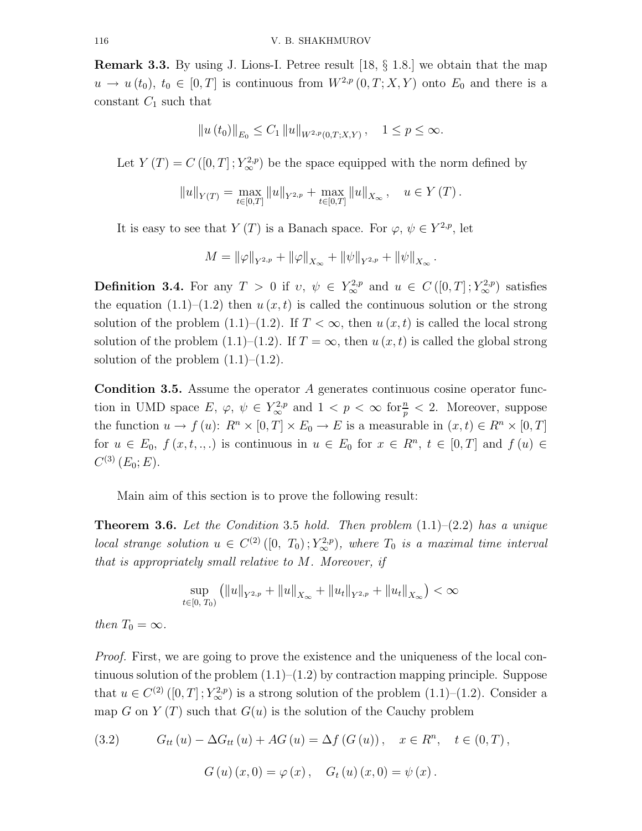**Remark 3.3.** By using J. Lions-I. Petree result  $[18, \S 1.8]$  we obtain that the map  $u \to u(t_0), t_0 \in [0,T]$  is continuous from  $W^{2,p}(0,T;X,Y)$  onto  $E_0$  and there is a constant  $C_1$  such that

$$
||u(t_0)||_{E_0} \leq C_1 ||u||_{W^{2,p}(0,T;X,Y)}, \quad 1 \leq p \leq \infty.
$$

Let  $Y(T) = C([0, T]; Y^{2, p}_{\infty})$  be the space equipped with the norm defined by

$$
||u||_{Y(T)} = \max_{t \in [0,T]} ||u||_{Y^{2,p}} + \max_{t \in [0,T]} ||u||_{X_{\infty}}, \quad u \in Y(T).
$$

It is easy to see that  $Y(T)$  is a Banach space. For  $\varphi, \psi \in Y^{2,p}$ , let

$$
M = \|\varphi\|_{Y^{2,p}} + \|\varphi\|_{X_{\infty}} + \|\psi\|_{Y^{2,p}} + \|\psi\|_{X_{\infty}}.
$$

**Definition 3.4.** For any  $T > 0$  if  $v, \psi \in Y^{2,p}_{\infty}$  and  $u \in C([0,T];Y^{2,p}_{\infty})$  satisfies the equation  $(1.1)$ – $(1.2)$  then  $u(x, t)$  is called the continuous solution or the strong solution of the problem  $(1.1)$ – $(1.2)$ . If  $T < \infty$ , then  $u(x, t)$  is called the local strong solution of the problem (1.1)–(1.2). If  $T = \infty$ , then  $u(x, t)$  is called the global strong solution of the problem  $(1.1)$ – $(1.2)$ .

Condition 3.5. Assume the operator A generates continuous cosine operator function in UMD space  $E, \varphi, \psi \in Y^{2,p}_{\infty}$  and  $1 < p < \infty$  for  $\frac{n}{p} < 2$ . Moreover, suppose the function  $u \to f(u)$ :  $R^n \times [0,T] \times E_0 \to E$  is a measurable in  $(x,t) \in R^n \times [0,T]$ for  $u \in E_0$ ,  $f(x,t, \ldots)$  is continuous in  $u \in E_0$  for  $x \in R^n$ ,  $t \in [0,T]$  and  $f(u) \in$  $C^{(3)}(E_0;E).$ 

Main aim of this section is to prove the following result:

**Theorem 3.6.** Let the Condition 3.5 hold. Then problem  $(1.1)$ – $(2.2)$  has a unique local strange solution  $u \in C^{(2)}([0, T_0); Y^{2,p}_{\infty})$ , where  $T_0$  is a maximal time interval that is appropriately small relative to M. Moreover, if

$$
\sup_{t\in[0, T_0)} (\|u\|_{Y^{2, p}} + \|u\|_{X_{\infty}} + \|u_t\|_{Y^{2, p}} + \|u_t\|_{X_{\infty}}) < \infty
$$

then  $T_0 = \infty$ .

Proof. First, we are going to prove the existence and the uniqueness of the local continuous solution of the problem  $(1.1)$ – $(1.2)$  by contraction mapping principle. Suppose that  $u \in C^{(2)}([0,T]; Y^{2,p}_{\infty})$  is a strong solution of the problem  $(1.1)$ – $(1.2)$ . Consider a map G on  $Y(T)$  such that  $G(u)$  is the solution of the Cauchy problem

(3.2) 
$$
G_{tt}(u) - \Delta G_{tt}(u) + AG(u) = \Delta f (G(u)), \quad x \in R^n, \quad t \in (0, T),
$$

$$
G(u)(x, 0) = \varphi (x), \quad G_t(u)(x, 0) = \psi (x).
$$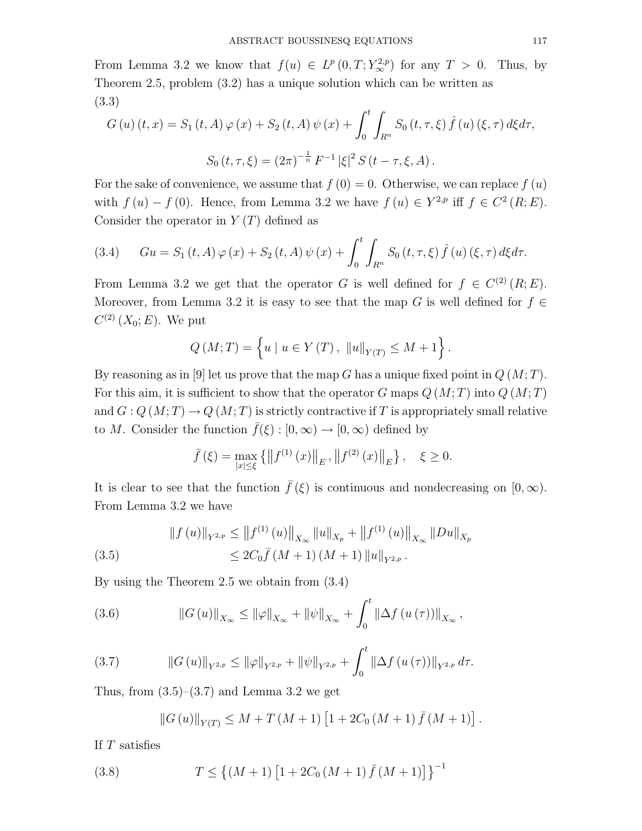From Lemma 3.2 we know that  $f(u) \in L^p(0,T; Y_\infty^{2,p})$  for any  $T > 0$ . Thus, by Theorem 2.5, problem (3.2) has a unique solution which can be written as (3.3)

$$
G(u)(t,x) = S_1(t,A)\varphi(x) + S_2(t,A)\psi(x) + \int_0^t \int_{R^n} S_0(t,\tau,\xi) \hat{f}(u)(\xi,\tau) d\xi d\tau,
$$
  

$$
S_0(t,\tau,\xi) = (2\pi)^{-\frac{1}{n}} F^{-1} |\xi|^2 S(t-\tau,\xi,A).
$$

For the sake of convenience, we assume that  $f(0) = 0$ . Otherwise, we can replace  $f(u)$ with  $f(u) - f(0)$ . Hence, from Lemma 3.2 we have  $f(u) \in Y^{2,p}$  iff  $f \in C^2(R; E)$ . Consider the operator in  $Y(T)$  defined as

(3.4) 
$$
Gu = S_1(t, A) \varphi(x) + S_2(t, A) \psi(x) + \int_0^t \int_{R^n} S_0(t, \tau, \xi) \hat{f}(u) (\xi, \tau) d\xi d\tau.
$$

From Lemma 3.2 we get that the operator G is well defined for  $f \in C^{(2)}(R;E)$ . Moreover, from Lemma 3.2 it is easy to see that the map G is well defined for  $f \in$  $C^{(2)}(X_0;E)$ . We put

$$
Q(M;T) = \left\{ u \mid u \in Y(T), \|u\|_{Y(T)} \le M + 1 \right\}.
$$

By reasoning as in [9] let us prove that the map G has a unique fixed point in  $Q(M;T)$ . For this aim, it is sufficient to show that the operator G maps  $Q(M;T)$  into  $Q(M;T)$ and  $G: Q(M;T) \to Q(M;T)$  is strictly contractive if T is appropriately small relative to M. Consider the function  $\bar{f}(\xi): [0, \infty) \to [0, \infty)$  defined by

$$
\bar{f}(\xi) = \max_{|x| \le \xi} \left\{ \left\| f^{(1)}(x) \right\|_{E}, \left\| f^{(2)}(x) \right\|_{E} \right\}, \quad \xi \ge 0.
$$

It is clear to see that the function  $\bar{f}(\xi)$  is continuous and nondecreasing on  $[0,\infty)$ . From Lemma 3.2 we have

(3.5) 
$$
\|f(u)\|_{Y^{2,p}} \le \|f^{(1)}(u)\|_{X_{\infty}} \|u\|_{X_p} + \|f^{(1)}(u)\|_{X_{\infty}} \|Du\|_{X_p}
$$

$$
\le 2C_0 \bar{f}(M+1) (M+1) \|u\|_{Y^{2,p}}.
$$

By using the Theorem 2.5 we obtain from (3.4)

(3.6) 
$$
\|G(u)\|_{X_{\infty}} \leq \|\varphi\|_{X_{\infty}} + \|\psi\|_{X_{\infty}} + \int_0^t \|\Delta f(u(\tau))\|_{X_{\infty}},
$$

(3.7) 
$$
\|G(u)\|_{Y^{2,p}} \le \|\varphi\|_{Y^{2,p}} + \|\psi\|_{Y^{2,p}} + \int_0^t \|\Delta f(u(\tau))\|_{Y^{2,p}} d\tau.
$$

Thus, from  $(3.5)-(3.7)$  and Lemma 3.2 we get

$$
||G (u)||_{Y(T)} \leq M + T (M + 1) [1 + 2C_0 (M + 1) \bar{f} (M + 1)].
$$

If T satisfies

(3.8) 
$$
T \le \left\{ (M+1) \left[ 1 + 2C_0 (M+1) \bar{f} (M+1) \right] \right\}^{-1}
$$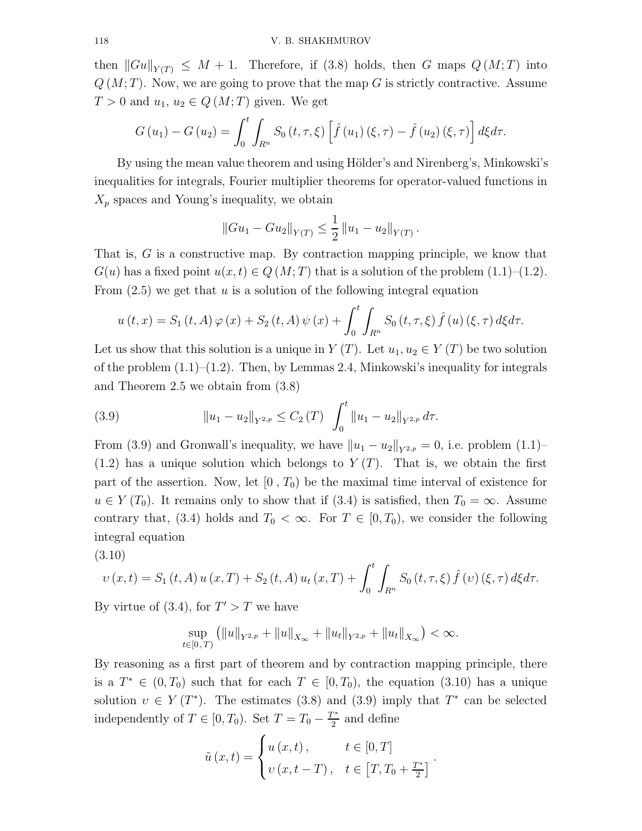then  $||Gu||_{Y(T)} \leq M + 1$ . Therefore, if (3.8) holds, then G maps  $Q(M;T)$  into  $Q(M;T)$ . Now, we are going to prove that the map G is strictly contractive. Assume  $T > 0$  and  $u_1, u_2 \in Q(M;T)$  given. We get

$$
G(u_1) - G(u_2) = \int_0^t \int_{R^n} S_0(t, \tau, \xi) \left[ \hat{f}(u_1) (\xi, \tau) - \hat{f}(u_2) (\xi, \tau) \right] d\xi d\tau.
$$

By using the mean value theorem and using Hölder's and Nirenberg's, Minkowski's inequalities for integrals, Fourier multiplier theorems for operator-valued functions in  $X_p$  spaces and Young's inequality, we obtain

$$
||Gu_1 - Gu_2||_{Y(T)} \le \frac{1}{2} ||u_1 - u_2||_{Y(T)}.
$$

That is,  $G$  is a constructive map. By contraction mapping principle, we know that  $G(u)$  has a fixed point  $u(x, t) \in Q(M; T)$  that is a solution of the problem  $(1.1)$ – $(1.2)$ . From  $(2.5)$  we get that u is a solution of the following integral equation

$$
u(t,x) = S_1(t,A)\,\varphi(x) + S_2(t,A)\,\psi(x) + \int_0^t \int_{R^n} S_0(t,\tau,\xi) \,\hat{f}(u) \,(\xi,\tau) \,d\xi d\tau.
$$

Let us show that this solution is a unique in  $Y(T)$ . Let  $u_1, u_2 \in Y(T)$  be two solution of the problem  $(1.1)$ – $(1.2)$ . Then, by Lemmas 2.4, Minkowski's inequality for integrals and Theorem 2.5 we obtain from (3.8)

(3.9) 
$$
||u_1 - u_2||_{Y^{2,p}} \leq C_2(T) \int_0^t ||u_1 - u_2||_{Y^{2,p}} d\tau.
$$

From (3.9) and Gronwall's inequality, we have  $||u_1 - u_2||_{Y^{2,p}} = 0$ , i.e. problem (1.1)–  $(1.2)$  has a unique solution which belongs to  $Y(T)$ . That is, we obtain the first part of the assertion. Now, let  $[0, T_0)$  be the maximal time interval of existence for  $u \in Y(T_0)$ . It remains only to show that if (3.4) is satisfied, then  $T_0 = \infty$ . Assume contrary that, (3.4) holds and  $T_0 < \infty$ . For  $T \in [0, T_0)$ , we consider the following integral equation

$$
(3.10)
$$

$$
v(x,t) = S_1(t,A)u(x,T) + S_2(t,A)u_t(x,T) + \int_0^t \int_{R^n} S_0(t,\tau,\xi) \hat{f}(v)(\xi,\tau) d\xi d\tau.
$$

By virtue of (3.4), for  $T' > T$  we have

$$
\sup_{t\in[0,T)} (\|u\|_{Y^{2,p}} + \|u\|_{X_{\infty}} + \|u_t\|_{Y^{2,p}} + \|u_t\|_{X_{\infty}}) < \infty.
$$

By reasoning as a first part of theorem and by contraction mapping principle, there is a  $T^* \in (0, T_0)$  such that for each  $T \in [0, T_0)$ , the equation (3.10) has a unique solution  $v \in Y(T^*)$ . The estimates (3.8) and (3.9) imply that  $T^*$  can be selected independently of  $T \in [0, T_0)$ . Set  $T = T_0 - \frac{T^*}{2}$  $\frac{1}{2}$  and define

$$
\tilde{u}(x,t) = \begin{cases} u(x,t), & t \in [0,T] \\ v(x,t-T), & t \in [T,T_0 + \frac{T^*}{2}]. \end{cases}
$$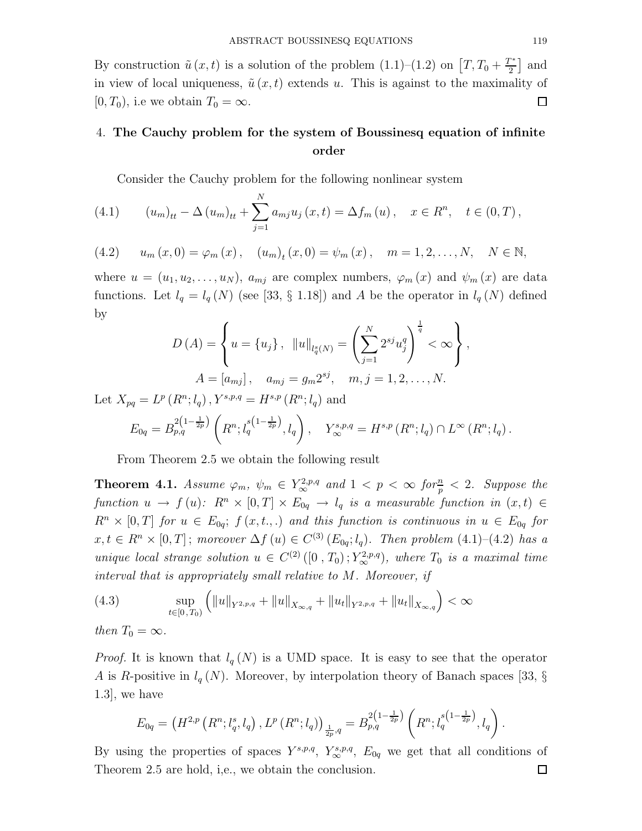By construction  $\tilde{u}(x,t)$  is a solution of the problem  $(1.1)$ – $(1.2)$  on  $\left[T, T_0 + \frac{T^*}{2}\right]$  $\left[\frac{n}{2}\right]$  and in view of local uniqueness,  $\tilde{u}(x, t)$  extends u. This is against to the maximality of  $[0, T_0)$ , i.e we obtain  $T_0 = \infty$ .  $\Box$ 

# 4. The Cauchy problem for the system of Boussinesq equation of infinite order

Consider the Cauchy problem for the following nonlinear system

(4.1) 
$$
(u_m)_{tt} - \Delta (u_m)_{tt} + \sum_{j=1}^N a_{mj} u_j(x, t) = \Delta f_m(u), \quad x \in R^n, \quad t \in (0, T),
$$

(4.2) 
$$
u_m(x, 0) = \varphi_m(x), \quad (u_m)_t(x, 0) = \psi_m(x), \quad m = 1, 2, ..., N, \quad N \in \mathbb{N},
$$

where  $u = (u_1, u_2, \dots, u_N)$ ,  $a_{mj}$  are complex numbers,  $\varphi_m(x)$  and  $\psi_m(x)$  are data functions. Let  $l_q = l_q(N)$  (see [33, § 1.18]) and A be the operator in  $l_q(N)$  defined by

$$
D(A) = \left\{ u = \{u_j\}, \quad ||u||_{l_q^s(N)} = \left(\sum_{j=1}^N 2^{sj} u_j^q\right)^{\frac{1}{q}} < \infty \right\},
$$
  

$$
A = [a_{mj}], \quad a_{mj} = g_m 2^{sj}, \quad m, j = 1, 2, ..., N.
$$

Let  $X_{pq} = L^p(R^n; l_q)$ ,  $Y^{s,p,q} = H^{s,p}(R^n; l_q)$  and

$$
E_{0q} = B_{p,q}^{2(1-\frac{1}{2p})} \left( R^n; l_q^{s(1-\frac{1}{2p})}, l_q \right), \quad Y_{\infty}^{s,p,q} = H^{s,p} \left( R^n; l_q \right) \cap L^{\infty} \left( R^n; l_q \right).
$$

From Theorem 2.5 we obtain the following result

**Theorem 4.1.** Assume  $\varphi_m$ ,  $\psi_m \in Y^{2,p,q}_{\infty}$  and  $1 < p < \infty$  for  $\frac{n}{p} < 2$ . Suppose the function  $u \to f(u)$ :  $R^n \times [0,T] \times E_{0q} \to l_q$  is a measurable function in  $(x,t) \in$  $R^n \times [0,T]$  for  $u \in E_{0q}$ ;  $f(x,t,.)$  and this function is continuous in  $u \in E_{0q}$  for  $x, t \in R<sup>n</sup> \times [0, T]$ ; moreover  $\Delta f(u) \in C^{(3)}(E_{0q}; l_q)$ . Then problem  $(4.1)$ - $(4.2)$  has a unique local strange solution  $u \in C^{(2)}([0, T_0); Y_\infty^{2,p,q})$ , where  $T_0$  is a maximal time interval that is appropriately small relative to M. Moreover, if

(4.3) 
$$
\sup_{t \in [0, T_0)} \left( \|u\|_{Y^{2, p, q}} + \|u\|_{X_{\infty, q}} + \|u_t\|_{Y^{2, p, q}} + \|u_t\|_{X_{\infty, q}} \right) < \infty
$$

then  $T_0 = \infty$ .

*Proof.* It is known that  $l_q(N)$  is a UMD space. It is easy to see that the operator A is R-positive in  $l_q(N)$ . Moreover, by interpolation theory of Banach spaces [33, § 1.3], we have

$$
E_{0q} = \left(H^{2,p}\left(R^n; l_q^n, l_q\right), L^p\left(R^n; l_q\right)\right)_{\frac{1}{2p},q} = B_{p,q}^{2\left(1-\frac{1}{2p}\right)}\left(R^n; l_q^{s\left(1-\frac{1}{2p}\right)}, l_q\right).
$$

By using the properties of spaces  $Y^{s,p,q}$ ,  $Y^{s,p,q}_{\infty}$ ,  $E_{0q}$  we get that all conditions of Theorem 2.5 are hold, i,e., we obtain the conclusion. $\Box$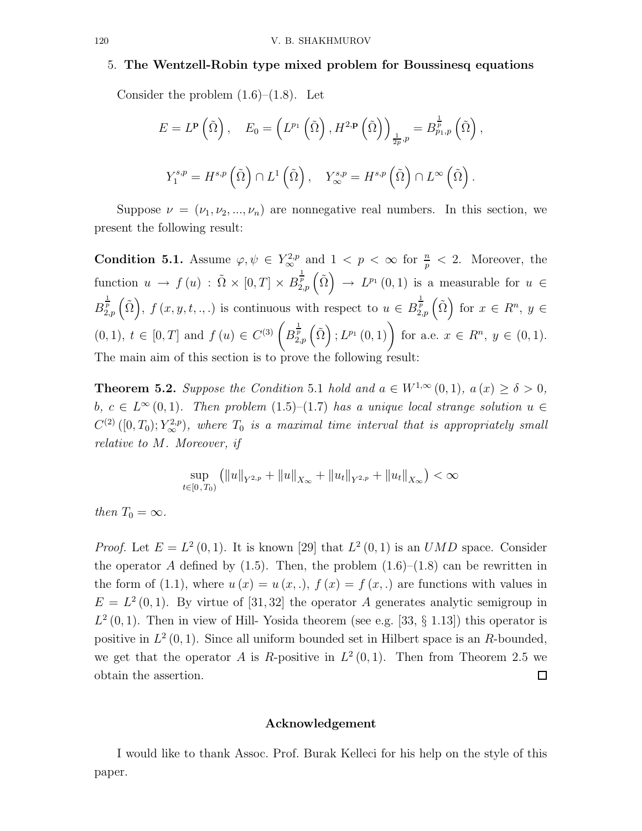### 5. The Wentzell-Robin type mixed problem for Boussinesq equations

Consider the problem  $(1.6)$ – $(1.8)$ . Let

$$
E = L^{p}\left(\tilde{\Omega}\right), \quad E_{0} = \left(L^{p_{1}}\left(\tilde{\Omega}\right), H^{2, p}\left(\tilde{\Omega}\right)\right)_{\frac{1}{2p}, p} = B_{p_{1}, p}^{\frac{1}{p}}\left(\tilde{\Omega}\right),
$$

$$
Y_{1}^{s, p} = H^{s, p}\left(\tilde{\Omega}\right) \cap L^{1}\left(\tilde{\Omega}\right), \quad Y_{\infty}^{s, p} = H^{s, p}\left(\tilde{\Omega}\right) \cap L^{\infty}\left(\tilde{\Omega}\right).
$$

Suppose  $\nu = (\nu_1, \nu_2, ..., \nu_n)$  are nonnegative real numbers. In this section, we present the following result:

**Condition 5.1.** Assume  $\varphi, \psi \in Y^{2,p}_{\infty}$  and  $1 < p < \infty$  for  $\frac{n}{p} < 2$ . Moreover, the function  $u \to f(u) : \tilde{\Omega} \times [0,T] \times B_{2,p}^{\frac{1}{p}}(\tilde{\Omega}) \to L^{p_1}(0,1)$  is a measurable for  $u \in$  $B_{2,p}^{\frac{1}{p}}(\tilde{\Omega}),\ f(x,y,t,..)$  is continuous with respect to  $u \in B_{2,p}^{\frac{1}{p}}(\tilde{\Omega})$  for  $x \in R^n, y \in$  $(0,1), t \in [0,T]$  and  $f(u) \in C^{(3)}\left(B^{\frac{1}{p}}_{2,p}\left(\tilde{\Omega}\right); L^{p_1}\left(0,1\right)\right)$  for a.e.  $x \in R^n, y \in (0,1)$ . The main aim of this section is to prove the following result:

**Theorem 5.2.** Suppose the Condition 5.1 hold and  $a \in W^{1,\infty}(0,1)$ ,  $a(x) \ge \delta > 0$ , b,  $c \in L^{\infty}(0,1)$ . Then problem  $(1.5)$ - $(1.7)$  has a unique local strange solution  $u \in$  $C^{(2)}([0,T_0);Y^{2,p}_{\infty}),$  where  $T_0$  is a maximal time interval that is appropriately small relative to M. Moreover, if

$$
\sup_{t\in[0,T_0)} (\|u\|_{Y^{2,p}} + \|u\|_{X_{\infty}} + \|u_t\|_{Y^{2,p}} + \|u_t\|_{X_{\infty}}) < \infty
$$

then  $T_0 = \infty$ .

*Proof.* Let  $E = L^2(0, 1)$ . It is known [29] that  $L^2(0, 1)$  is an *UMD* space. Consider the operator A defined by  $(1.5)$ . Then, the problem  $(1.6)$ – $(1.8)$  can be rewritten in the form of (1.1), where  $u(x) = u(x, \cdot)$ ,  $f(x) = f(x, \cdot)$  are functions with values in  $E = L<sup>2</sup>(0, 1)$ . By virtue of [31, 32] the operator A generates analytic semigroup in  $L^2(0,1)$ . Then in view of Hill-Yosida theorem (see e.g. [33, § 1.13]) this operator is positive in  $L^2(0,1)$ . Since all uniform bounded set in Hilbert space is an R-bounded, we get that the operator A is R-positive in  $L^2(0,1)$ . Then from Theorem 2.5 we obtain the assertion.  $\Box$ 

### Acknowledgement

I would like to thank Assoc. Prof. Burak Kelleci for his help on the style of this paper.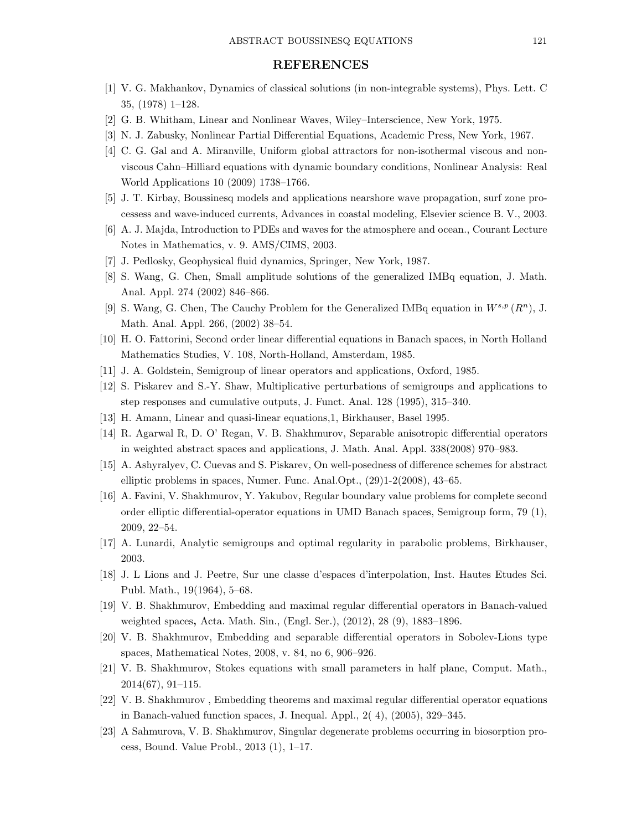### REFERENCES

- [1] V. G. Makhankov, Dynamics of classical solutions (in non-integrable systems), Phys. Lett. C 35, (1978) 1–128.
- [2] G. B. Whitham, Linear and Nonlinear Waves, Wiley–Interscience, New York, 1975.
- [3] N. J. Zabusky, Nonlinear Partial Differential Equations, Academic Press, New York, 1967.
- [4] C. G. Gal and A. Miranville, Uniform global attractors for non-isothermal viscous and nonviscous Cahn–Hilliard equations with dynamic boundary conditions, Nonlinear Analysis: Real World Applications 10 (2009) 1738–1766.
- [5] J. T. Kirbay, Boussinesq models and applications nearshore wave propagation, surf zone processess and wave-induced currents, Advances in coastal modeling, Elsevier science B. V., 2003.
- [6] A. J. Majda, Introduction to PDEs and waves for the atmosphere and ocean., Courant Lecture Notes in Mathematics, v. 9. AMS/CIMS, 2003.
- [7] J. Pedlosky, Geophysical fluid dynamics, Springer, New York, 1987.
- [8] S. Wang, G. Chen, Small amplitude solutions of the generalized IMBq equation, J. Math. Anal. Appl. 274 (2002) 846–866.
- [9] S. Wang, G. Chen, The Cauchy Problem for the Generalized IMBq equation in  $W^{s,p}(R^n)$ , J. Math. Anal. Appl. 266, (2002) 38–54.
- [10] H. O. Fattorini, Second order linear differential equations in Banach spaces, in North Holland Mathematics Studies, V. 108, North-Holland, Amsterdam, 1985.
- [11] J. A. Goldstein, Semigroup of linear operators and applications, Oxford, 1985.
- [12] S. Piskarev and S.-Y. Shaw, Multiplicative perturbations of semigroups and applications to step responses and cumulative outputs, J. Funct. Anal. 128 (1995), 315–340.
- [13] H. Amann, Linear and quasi-linear equations,1, Birkhauser, Basel 1995.
- [14] R. Agarwal R, D. O' Regan, V. B. Shakhmurov, Separable anisotropic differential operators in weighted abstract spaces and applications, J. Math. Anal. Appl. 338(2008) 970–983.
- [15] A. Ashyralyev, C. Cuevas and S. Piskarev, On well-posedness of difference schemes for abstract elliptic problems in spaces, Numer. Func. Anal.Opt., (29)1-2(2008), 43–65.
- [16] A. Favini, V. Shakhmurov, Y. Yakubov, Regular boundary value problems for complete second order elliptic differential-operator equations in UMD Banach spaces, Semigroup form, 79 (1), 2009, 22–54.
- [17] A. Lunardi, Analytic semigroups and optimal regularity in parabolic problems, Birkhauser, 2003.
- [18] J. L Lions and J. Peetre, Sur une classe d'espaces d'interpolation, Inst. Hautes Etudes Sci. Publ. Math., 19(1964), 5–68.
- [19] V. B. Shakhmurov, Embedding and maximal regular differential operators in Banach-valued weighted spaces, Acta. Math. Sin., (Engl. Ser.), (2012), 28 (9), 1883–1896.
- [20] V. B. Shakhmurov, Embedding and separable differential operators in Sobolev-Lions type spaces, Mathematical Notes, 2008, v. 84, no 6, 906–926.
- [21] V. B. Shakhmurov, Stokes equations with small parameters in half plane, Comput. Math., 2014(67), 91–115.
- [22] V. B. Shakhmurov , Embedding theorems and maximal regular differential operator equations in Banach-valued function spaces, J. Inequal. Appl., 2( 4), (2005), 329–345.
- [23] A Sahmurova, V. B. Shakhmurov, Singular degenerate problems occurring in biosorption process, Bound. Value Probl., 2013 (1), 1–17.